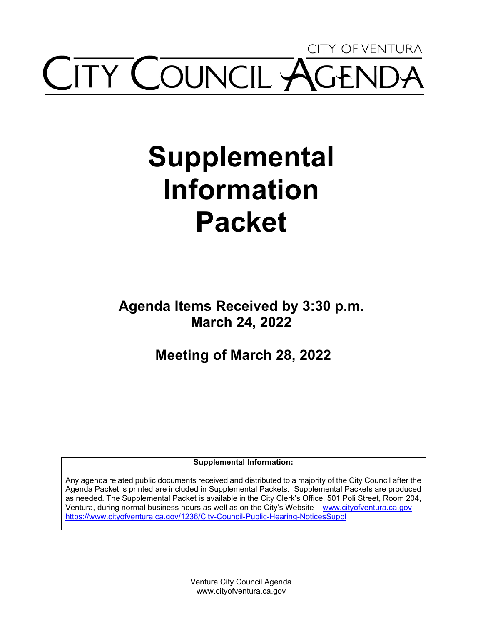## CITY OF VENTURA **ITY COUNCIL AGE**

# **Supplemental Information Packet**

**Agenda Items Received by 3:30 p.m. March 24, 2022**

**Meeting of March 28, 2022**

**Supplemental Information:** 

Any agenda related public documents received and distributed to a majority of the City Council after the Agenda Packet is printed are included in Supplemental Packets. Supplemental Packets are produced as needed. The Supplemental Packet is available in the City Clerk's Office, 501 Poli Street, Room 204, Ventura, during normal business hours as well as on the City's Website – [www.cityofventura.ca.gov](http://www.cityofventura.ca.gov/)  <https://www.cityofventura.ca.gov/1236/City-Council-Public-Hearing-NoticesSuppl>

> Ventura City Council Agenda www.cityofventura.ca.gov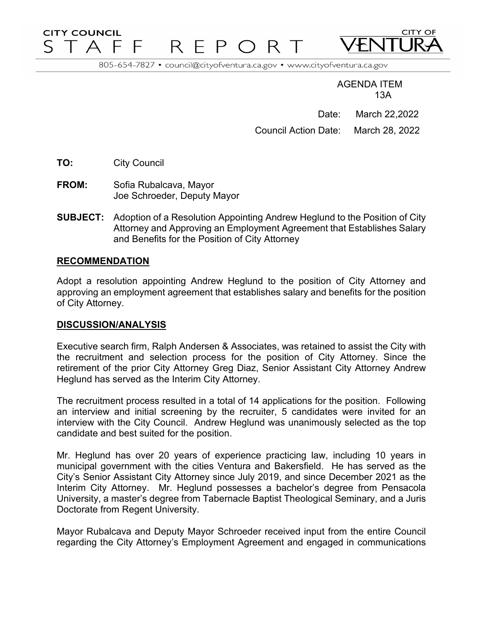#### **CITY COUNCIL**  $P$ T A F E R.

805-654-7827 · council@cityofventura.ca.gov · www.cityofventura.ca.gov

AGENDA ITEM 13A

**CITY OF** 

Date: March 22,2022 Council Action Date: March 28, 2022

**TO:** City Council

**FROM:** Sofia Rubalcava, Mayor Joe Schroeder, Deputy Mayor

**SUBJECT:** Adoption of a Resolution Appointing Andrew Heglund to the Position of City Attorney and Approving an Employment Agreement that Establishes Salary and Benefits for the Position of City Attorney

#### **RECOMMENDATION**

Adopt a resolution appointing Andrew Heglund to the position of City Attorney and approving an employment agreement that establishes salary and benefits for the position of City Attorney.

#### **DISCUSSION/ANALYSIS**

Executive search firm, Ralph Andersen & Associates, was retained to assist the City with the recruitment and selection process for the position of City Attorney. Since the retirement of the prior City Attorney Greg Diaz, Senior Assistant City Attorney Andrew Heglund has served as the Interim City Attorney.

The recruitment process resulted in a total of 14 applications for the position. Following an interview and initial screening by the recruiter, 5 candidates were invited for an interview with the City Council. Andrew Heglund was unanimously selected as the top candidate and best suited for the position.

Mr. Heglund has over 20 years of experience practicing law, including 10 years in municipal government with the cities Ventura and Bakersfield. He has served as the City's Senior Assistant City Attorney since July 2019, and since December 2021 as the Interim City Attorney. Mr. Heglund possesses a bachelor's degree from Pensacola University, a master's degree from Tabernacle Baptist Theological Seminary, and a Juris Doctorate from Regent University.

Mayor Rubalcava and Deputy Mayor Schroeder received input from the entire Council regarding the City Attorney's Employment Agreement and engaged in communications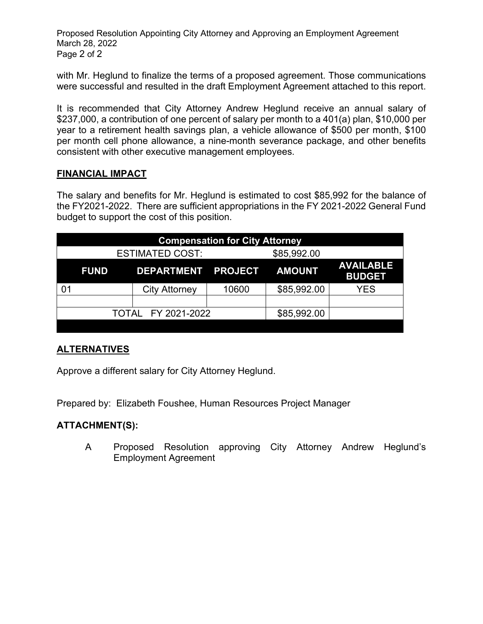Proposed Resolution Appointing City Attorney and Approving an Employment Agreement March 28, 2022 Page 2 of 2

with Mr. Heglund to finalize the terms of a proposed agreement. Those communications were successful and resulted in the draft Employment Agreement attached to this report.

It is recommended that City Attorney Andrew Heglund receive an annual salary of \$237,000, a contribution of one percent of salary per month to a 401(a) plan, \$10,000 per year to a retirement health savings plan, a vehicle allowance of \$500 per month, \$100 per month cell phone allowance, a nine-month severance package, and other benefits consistent with other executive management employees.

#### **FINANCIAL IMPACT**

The salary and benefits for Mr. Heglund is estimated to cost \$85,992 for the balance of the FY2021-2022. There are sufficient appropriations in the FY 2021-2022 General Fund budget to support the cost of this position.

| <b>Compensation for City Attorney</b> |                        |                      |       |               |                                   |  |
|---------------------------------------|------------------------|----------------------|-------|---------------|-----------------------------------|--|
|                                       | <b>ESTIMATED COST:</b> |                      |       | \$85,992.00   |                                   |  |
|                                       | <b>FUND</b>            | DEPARTMENT PROJECT   |       | <b>AMOUNT</b> | <b>AVAILABLE</b><br><b>BUDGET</b> |  |
|                                       |                        | <b>City Attorney</b> | 10600 | \$85,992.00   | <b>YES</b>                        |  |
|                                       |                        |                      |       |               |                                   |  |
| TOTAL FY 2021-2022                    |                        |                      |       | \$85,992.00   |                                   |  |
|                                       |                        |                      |       |               |                                   |  |

#### **ALTERNATIVES**

Approve a different salary for City Attorney Heglund.

Prepared by: Elizabeth Foushee, Human Resources Project Manager

#### **ATTACHMENT(S):**

A Proposed Resolution approving City Attorney Andrew Heglund's Employment Agreement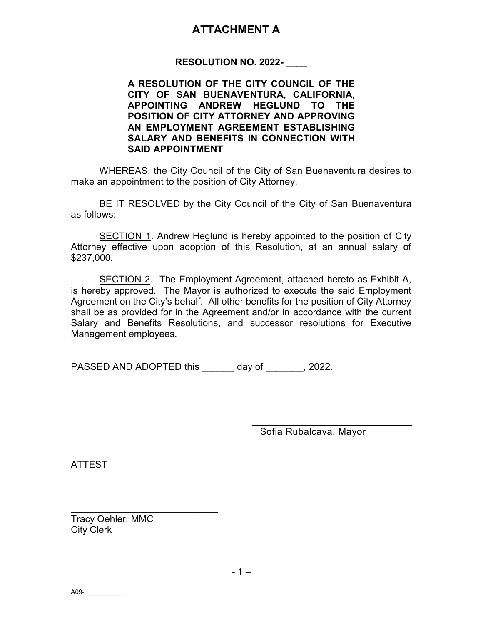#### **ATTACHMENT A**

#### RESOLUTION NO. 2022-

A RESOLUTION OF THE CITY COUNCIL OF THE CITY OF SAN BUENAVENTURA, CALIFORNIA, APPOINTING ANDREW HEGLUND TO THE POSITION OF CITY ATTORNEY AND APPROVING AN EMPLOYMENT AGREEMENT ESTABLISHING SALARY AND BENEFITS IN CONNECTION WITH SAID APPOINTMENT

WHEREAS, the City Council of the City of San Buenaventura desires to make an appointment to the position of City Attorney.

BE IT RESOLVED by the City Council of the City of San Buenaventura as follows:

SECTION 1. Andrew Heglund is hereby appointed to the position of City Attorney effective upon adoption of this Resolution, at an annual salary of \$237,000.

SECTION 2. The Employment Agreement, attached hereto as Exhibit A, is hereby approved. The Mayor is authorized to execute the said Employment Agreement on the City's behalf. All other benefits for the position of City Attorney shall be as provided for in the Agreement and/or in accordance with the current Salary and Benefits Resolutions, and successor resolutions for Executive Management employees.

PASSED AND ADOPTED this day of  $\qquad \qquad , 2022.$ 

Sofia Rubalcava, Mayor

 $\mathcal{L}=\{1,2,3,4,5\}$ 

ATTEST

Tracy Oehler, MMC City Clerk

\_\_\_\_\_\_\_\_\_\_\_\_\_\_\_\_\_\_\_\_\_\_\_\_\_\_\_\_

A09-\_\_\_\_\_\_\_\_\_\_\_\_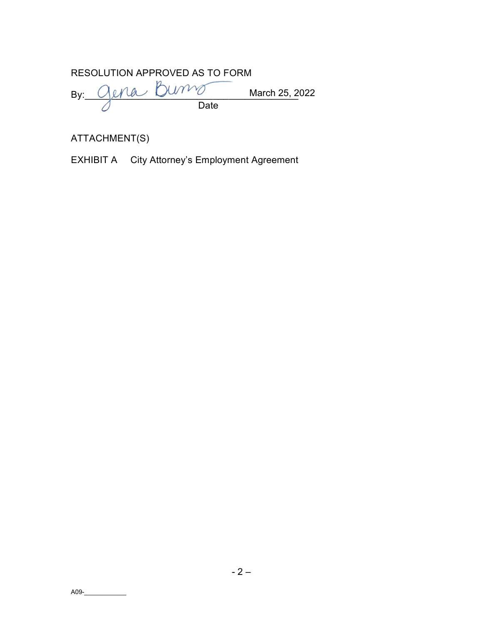|  | RESOLUTION APPROVED AS TO FORM |                |
|--|--------------------------------|----------------|
|  | By: Gena Bums                  | March 25, 2022 |
|  | Date                           |                |

ATTACHMENT(S)

EXHIBIT A City Attorney's Employment Agreement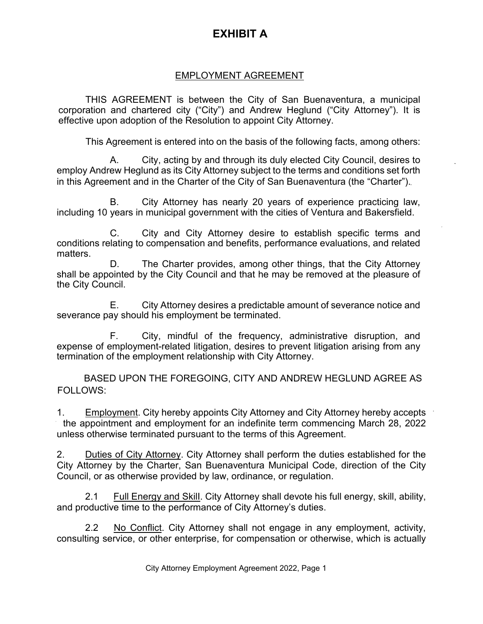### **EXHIBIT A**

#### EMPLOYMENT AGREEMENT

THIS AGREEMENT is between the City of San Buenaventura, a municipal corporation and chartered city ("City") and Andrew Heglund ("City Attorney"). It is effective upon adoption of the Resolution to appoint City Attorney.

This Agreement is entered into on the basis of the following facts, among others:

A. City, acting by and through its duly elected City Council, desires to employ Andrew Heglund as its City Attorney subject to the terms and conditions set forth in this Agreement and in the Charter of the City of San Buenaventura (the "Charter").

B. City Attorney has nearly 20 years of experience practicing law, including 10 years in municipal government with the cities of Ventura and Bakersfield.

C. City and City Attorney desire to establish specific terms and conditions relating to compensation and benefits, performance evaluations, and related matters.

D. The Charter provides, among other things, that the City Attorney shall be appointed by the City Council and that he may be removed at the pleasure of the City Council.

E. City Attorney desires a predictable amount of severance notice and severance pay should his employment be terminated.

F. City, mindful of the frequency, administrative disruption, and expense of employment-related litigation, desires to prevent litigation arising from any termination of the employment relationship with City Attorney.

BASED UPON THE FOREGOING, CITY AND ANDREW HEGLUND AGREE AS FOLLOWS:

1. Employment. City hereby appoints City Attorney and City Attorney hereby accepts the appointment and employment for an indefinite term commencing March 28, 2022 unless otherwise terminated pursuant to the terms of this Agreement.

2. Duties of City Attorney. City Attorney shall perform the duties established for the City Attorney by the Charter, San Buenaventura Municipal Code, direction of the City Council, or as otherwise provided by law, ordinance, or regulation.

2.1 Full Energy and SkilI. City Attorney shall devote his full energy, skill, ability, and productive time to the performance of City Attorney's duties.

2.2 No Conflict. City Attorney shall not engage in any employment, activity, consulting service, or other enterprise, for compensation or otherwise, which is actually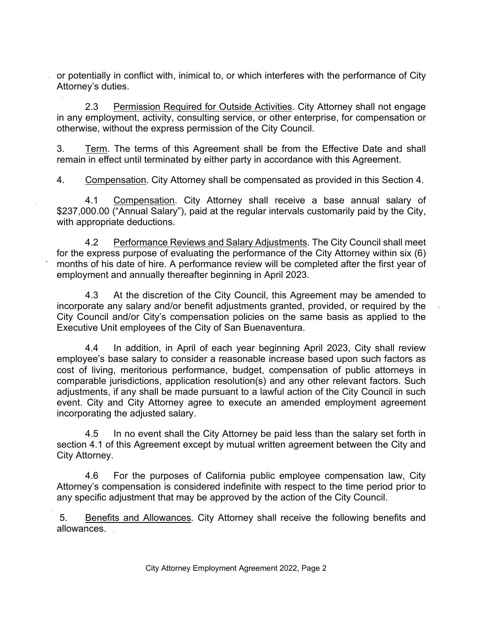or potentially in conflict with, inimical to, or which interferes with the performance of City Attorney's duties.

2.3 Permission Required for Outside Activities. City Attorney shall not engage in any employment, activity, consulting service, or other enterprise, for compensation or otherwise, without the express permission of the City Council.

3. Term. The terms of this Agreement shall be from the Effective Date and shall remain in effect until terminated by either party in accordance with this Agreement.

4. Compensation. City Attorney shall be compensated as provided in this Section 4.

4.1 Compensation. City Attorney shall receive a base annual salary of \$237,000.00 ("Annual Salary"), paid at the regular intervals customarily paid by the City, with appropriate deductions.

4.2 Performance Reviews and Salary Adjustments. The City Council shall meet for the express purpose of evaluating the performance of the City Attorney within six (6) months of his date of hire. A performance review will be completed after the first year of employment and annually thereafter beginning in April 2023.

4.3 At the discretion of the City Council, this Agreement may be amended to incorporate any salary and/or benefit adjustments granted, provided, or required by the City Council and/or City's compensation policies on the same basis as applied to the Executive Unit employees of the City of San Buenaventura.

4.4 In addition, in April of each year beginning April 2023, City shall review employee's base salary to consider a reasonable increase based upon such factors as cost of living, meritorious performance, budget, compensation of public attorneys in comparable jurisdictions, application resolution(s) and any other relevant factors. Such adjustments, if any shall be made pursuant to a lawful action of the City Council in such event. City and City Attorney agree to execute an amended employment agreement incorporating the adjusted salary.

4.5 In no event shall the City Attorney be paid less than the salary set forth in section 4.1 of this Agreement except by mutual written agreement between the City and City Attorney.

4.6 For the purposes of California public employee compensation law, City Attorney's compensation is considered indefinite with respect to the time period prior to any specific adjustment that may be approved by the action of the City Council.

5. Benefits and Allowances. City Attorney shall receive the following benefits and allowances.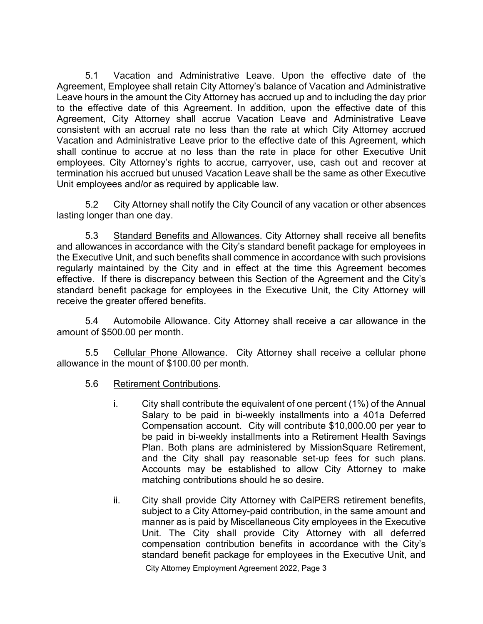5.1 Vacation and Administrative Leave. Upon the effective date of the Agreement, Employee shall retain City Attorney's balance of Vacation and Administrative Leave hours in the amount the City Attorney has accrued up and to including the day prior to the effective date of this Agreement. In addition, upon the effective date of this Agreement, City Attorney shall accrue Vacation Leave and Administrative Leave consistent with an accrual rate no less than the rate at which City Attorney accrued Vacation and Administrative Leave prior to the effective date of this Agreement, which shall continue to accrue at no less than the rate in place for other Executive Unit employees. City Attorney's rights to accrue, carryover, use, cash out and recover at termination his accrued but unused Vacation Leave shall be the same as other Executive Unit employees and/or as required by applicable law.

5.2 City Attorney shall notify the City Council of any vacation or other absences lasting longer than one day.

5.3 Standard Benefits and Allowances. City Attorney shall receive all benefits and allowances in accordance with the City's standard benefit package for employees in the Executive Unit, and such benefits shall commence in accordance with such provisions regularly maintained by the City and in effect at the time this Agreement becomes effective. If there is discrepancy between this Section of the Agreement and the City's standard benefit package for employees in the Executive Unit, the City Attorney will receive the greater offered benefits.

5.4 Automobile Allowance. City Attorney shall receive a car allowance in the amount of \$500.00 per month.

5.5 Cellular Phone Allowance. City Attorney shall receive a cellular phone allowance in the mount of \$100.00 per month.

- 5.6 Retirement Contributions.
	- i. City shall contribute the equivalent of one percent (1%) of the Annual Salary to be paid in bi-weekly installments into a 401a Deferred Compensation account. City will contribute \$10,000.00 per year to be paid in bi-weekly installments into a Retirement Health Savings Plan. Both plans are administered by MissionSquare Retirement, and the City shall pay reasonable set-up fees for such plans. Accounts may be established to allow City Attorney to make matching contributions should he so desire.
	- ii. City shall provide City Attorney with CalPERS retirement benefits, subject to a City Attorney-paid contribution, in the same amount and manner as is paid by Miscellaneous City employees in the Executive Unit. The City shall provide City Attorney with all deferred compensation contribution benefits in accordance with the City's standard benefit package for employees in the Executive Unit, and

City Attorney Employment Agreement 2022, Page 3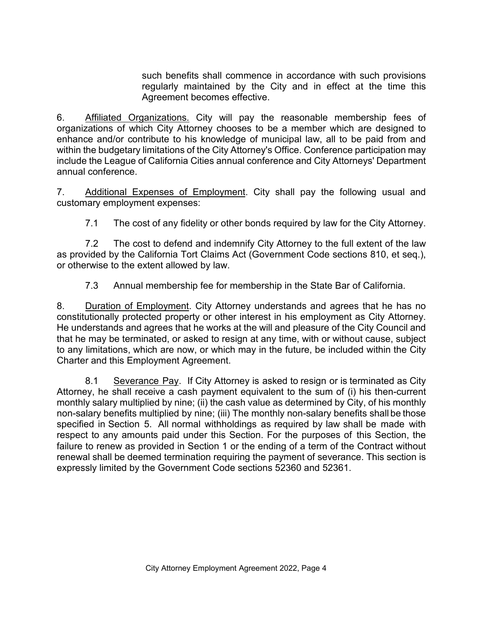such benefits shall commence in accordance with such provisions regularly maintained by the City and in effect at the time this Agreement becomes effective.

6. Affiliated Organizations. City will pay the reasonable membership fees of organizations of which City Attorney chooses to be a member which are designed to enhance and/or contribute to his knowledge of municipal law, all to be paid from and within the budgetary limitations of the City Attorney's Office. Conference participation may include the League of California Cities annual conference and City Attorneys' Department annual conference.

7. Additional Expenses of Employment. City shall pay the following usual and customary employment expenses:

7.1 The cost of any fidelity or other bonds required by law for the City Attorney.

7.2 The cost to defend and indemnify City Attorney to the full extent of the law as provided by the California Tort Claims Act (Government Code sections 810, et seq.), or otherwise to the extent allowed by law.

7.3 Annual membership fee for membership in the State Bar of California.

8. Duration of Employment. City Attorney understands and agrees that he has no constitutionally protected property or other interest in his employment as City Attorney. He understands and agrees that he works at the will and pleasure of the City Council and that he may be terminated, or asked to resign at any time, with or without cause, subject to any limitations, which are now, or which may in the future, be included within the City Charter and this Employment Agreement.

8.1 Severance Pay. If City Attorney is asked to resign or is terminated as City Attorney, he shall receive a cash payment equivalent to the sum of (i) his then-current monthly salary multiplied by nine; (ii) the cash value as determined by City, of his monthly non-salary benefits multiplied by nine; (iii) The monthly non-salary benefits shall be those specified in Section 5. All normal withholdings as required by law shall be made with respect to any amounts paid under this Section. For the purposes of this Section, the failure to renew as provided in Section 1 or the ending of a term of the Contract without renewal shall be deemed termination requiring the payment of severance. This section is expressly limited by the Government Code sections 52360 and 52361.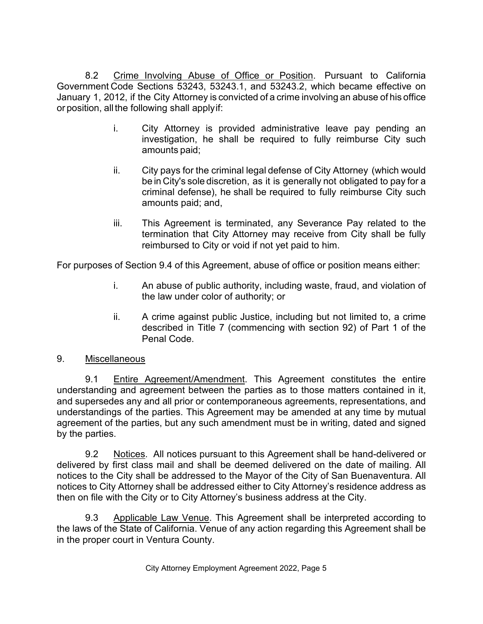8.2 Crime Involving Abuse of Office or Position. Pursuant to California Government Code Sections 53243, 53243.1, and 53243.2, which became effective on January 1, 2012, if the City Attorney is convicted of a crime involving an abuse of his office or position, all the following shall applyif:

- i. City Attorney is provided administrative leave pay pending an investigation, he shall be required to fully reimburse City such amounts paid;
- ii. City pays for the criminal legal defense of City Attorney (which would be in City's sole discretion, as it is generally not obligated to pay for a criminal defense), he shall be required to fully reimburse City such amounts paid; and,
- iii. This Agreement is terminated, any Severance Pay related to the termination that City Attorney may receive from City shall be fully reimbursed to City or void if not yet paid to him.

For purposes of Section 9.4 of this Agreement, abuse of office or position means either:

- i. An abuse of public authority, including waste, fraud, and violation of the law under color of authority; or
- ii. A crime against public Justice, including but not limited to, a crime described in Title 7 (commencing with section 92) of Part 1 of the Penal Code.
- 9. Miscellaneous

9.1 Entire Agreement/Amendment. This Agreement constitutes the entire understanding and agreement between the parties as to those matters contained in it, and supersedes any and all prior or contemporaneous agreements, representations, and understandings of the parties. This Agreement may be amended at any time by mutual agreement of the parties, but any such amendment must be in writing, dated and signed by the parties.

9.2 Notices. All notices pursuant to this Agreement shall be hand-delivered or delivered by first class mail and shall be deemed delivered on the date of mailing. All notices to the City shall be addressed to the Mayor of the City of San Buenaventura. All notices to City Attorney shall be addressed either to City Attorney's residence address as then on file with the City or to City Attorney's business address at the City.

9.3 Applicable Law Venue. This Agreement shall be interpreted according to the laws of the State of California. Venue of any action regarding this Agreement shall be in the proper court in Ventura County.